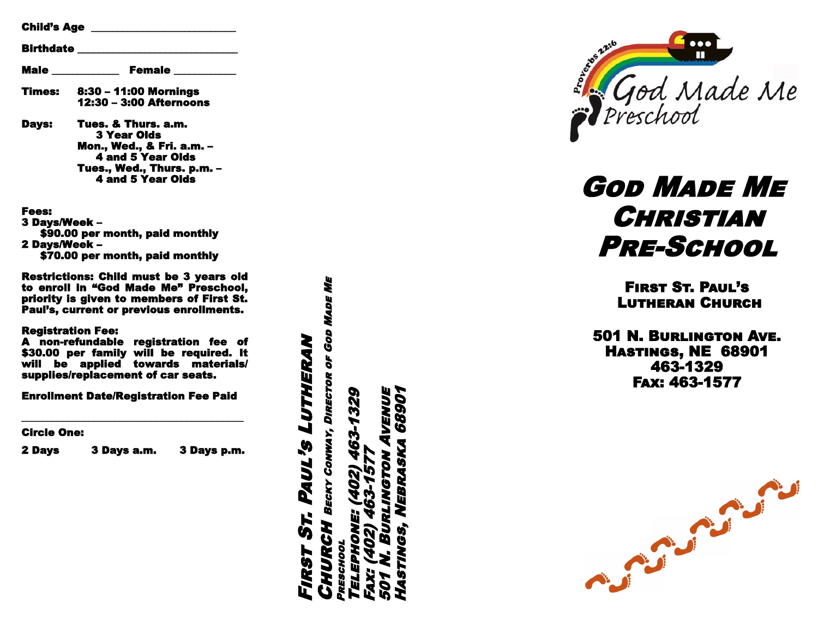| <b>Child's Age _________________</b><br><b>Birthdate</b> |                                                                                                                                                              |
|----------------------------------------------------------|--------------------------------------------------------------------------------------------------------------------------------------------------------------|
|                                                          |                                                                                                                                                              |
| Times:                                                   | 8:30 - 11:00 Mornings<br>12:30 - 3:00 Afternoons                                                                                                             |
| <b>Davs:</b>                                             | Tues. & Thurs. a.m.<br><b>3 Year Olds</b><br>Mon., Wed., & Fri. a.m. –<br><b>4 and 5 Year Olds</b><br>Tues., Wed., Thurs. p.m. -<br><b>4 and 5 Year Olds</b> |

Fees: 3 Days/Week – \$90.00 per month, paid monthly 2 Days/Week – \$70.00 per month, paid monthly

Restrictions: Child must be 3 years old to enroll in "God Made Me" Preschool, priority is given to members of First St. Paul 's, current or previous enrollments.

#### Registration Fee:

A non -refundable registration fee of \$30.00 per family will be required. It will be applied towards materials/ supplies/replacement of car seats.

Enrollment Date/Registration Fee Paid

Circle One:

2 Days 3 Days a.m. 3 Days p.m.

\_\_\_\_\_\_\_\_\_\_\_\_\_\_\_\_\_\_\_\_\_\_\_\_\_\_\_\_\_\_\_\_\_\_\_\_\_\_\_\_\_\_\_

**CHURCH** BECKY CONWAY, DIRECTOR OF GOD MADE ME Made Me BECKY CONWAY, DIRECTOR OF GOD First St. Paul's Lutheran PAUL'S LUTHERAN 57. **YURCH FIRST** 

Preschool